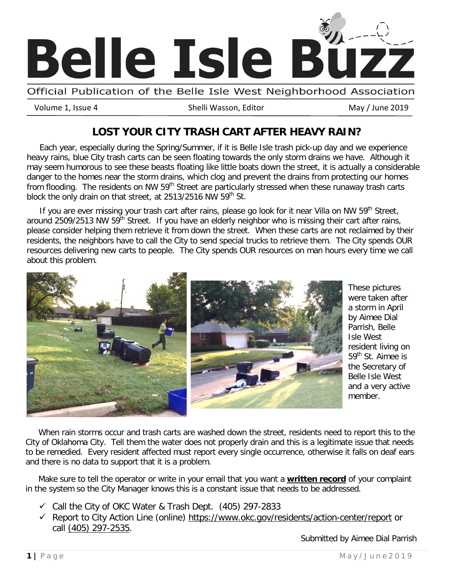

Official Publication of the Belle Isle West Neighborhood Association

Volume 1, Issue 4 **Shelli Wasson, Editor** May / June 2019

### **LOST YOUR CITY TRASH CART AFTER HEAVY RAIN?**

 Each year, especially during the Spring/Summer, if it is Belle Isle trash pick-up day and we experience heavy rains, blue City trash carts can be seen floating towards the only storm drains we have. Although it may seem humorous to see these beasts floating like little boats down the street, it is actually a considerable danger to the homes near the storm drains, which clog and prevent the drains from protecting our homes from flooding. The residents on NW 59<sup>th</sup> Street are particularly stressed when these runaway trash carts block the only drain on that street, at 2513/2516 NW 59<sup>th</sup> St.

If you are ever missing your trash cart after rains, please go look for it near Villa on NW 59<sup>th</sup> Street, around 2509/2513 NW 59<sup>th</sup> Street. If you have an elderly neighbor who is missing their cart after rains, please consider helping them retrieve it from down the street. When these carts are not reclaimed by their residents, the neighbors have to call the City to send special trucks to retrieve them. The City spends OUR resources delivering new carts to people. The City spends OUR resources on man hours every time we call about this problem.



These pictures were taken after a storm in April by Aimee Dial Parrish, Belle Isle West resident living on 59<sup>th</sup> St. Aimee is the Secretary of Belle Isle West and a very active member.

 When rain storms occur and trash carts are washed down the street, residents need to report this to the City of Oklahoma City. Tell them the water does not properly drain and this is a legitimate issue that needs to be remedied. Every resident affected must report every single occurrence, otherwise it falls on deaf ears and there is no data to support that it is a problem.

 Make sure to tell the operator or write in your email that you want a **written record** of your complaint in the system so the City Manager knows this is a constant issue that needs to be addressed.

- $\checkmark$  Call the City of OKC Water & Trash Dept. (405) 297-2833
- Report to City Action Line (online) [https://www.okc.gov/residents/action-center/report](https://protect-us.mimecast.com/s/UXI6CVOomoSxoGV5HGtJ5l?domain=okc.gov) or call [\(405\) 297-2535.](tel:4052972535)

Submitted by Aimee Dial Parrish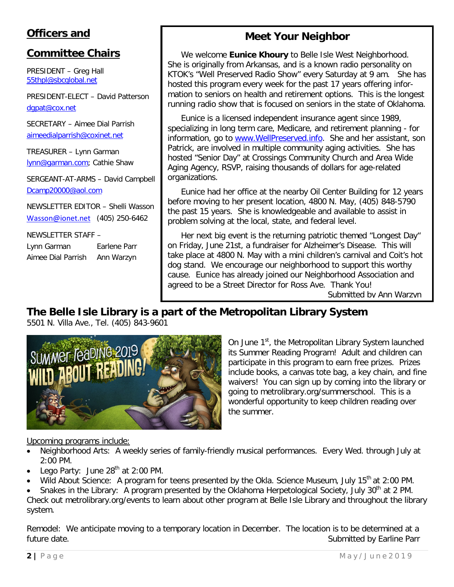## **Officers and**

### **Committee Chairs**

PRESIDENT – Greg Hall [55thpl@sbcglobal.net](mailto:55thpl@sbcglobal.net)

PRESIDENT-ELECT – David Patterson [dgpat@cox.net](mailto:dgpat@cox.net)

SECRETARY – Aimee Dial Parrish [aimeedialparrish@coxinet.net](mailto:aimeedialparrish@coxinet.net)

TREASURER – Lynn Garman [lynn@garman.com;](mailto:lynn@garman.com) Cathie Shaw

SERGEANT-AT-ARMS – David Campbell [Dcamp20000@aol.com](mailto:Dcamp20000@aol.com)

NEWSLETTER EDITOR – Shelli Wasson [Wasson@ionet.net](mailto:Wasson@ionet.net) (405) 250-6462

NEWSLETTER STAFF – Lynn Garman Earlene Parr Aimee Dial Parrish Ann Warzyn

## **Meet Your Neighbor**

We welcome **Eunice Khoury** to Belle Isle West Neighborhood. She is originally from Arkansas, and is a known radio personality on KTOK's "Well Preserved Radio Show" every Saturday at 9 am. She has hosted this program every week for the past 17 years offering information to seniors on health and retirement options. This is the longest running radio show that is focused on seniors in the state of Oklahoma.

Eunice is a licensed independent insurance agent since 1989, specializing in long term care, Medicare, and retirement planning - for information, go to [www.WellPreserved.info.](https://protect-us.mimecast.com/s/LhDuCADWnWCNA4mEcGWhsm?domain=wellpreserved.info) She and her assistant, son Patrick, are involved in multiple community aging activities. She has hosted "Senior Day" at Crossings Community Church and Area Wide Aging Agency, RSVP, raising thousands of dollars for age-related organizations.

Eunice had her office at the nearby Oil Center Building for 12 years before moving to her present location, 4800 N. May, (405) 848-5790 the past 15 years. She is knowledgeable and available to assist in problem solving at the local, state, and federal level.

Her next big event is the returning patriotic themed "Longest Day" on Friday, June 21st, a fundraiser for Alzheimer's Disease. This will take place at 4800 N. May with a mini children's carnival and Coit's hot dog stand. We encourage our neighborhood to support this worthy cause. Eunice has already joined our Neighborhood Association and agreed to be a Street Director for Ross Ave. Thank You! Submitted by Ann Warzyn

**The Belle Isle Library is a part of the Metropolitan Library System**

5501 N. Villa Ave., Tel. (405) 843-9601



On June 1<sup>st</sup>, the Metropolitan Library System launched its Summer Reading Program! Adult and children can participate in this program to earn free prizes. Prizes include books, a canvas tote bag, a key chain, and fine waivers! You can sign up by coming into the library or going to metrolibrary.org/summerschool. This is a wonderful opportunity to keep children reading over the summer.

#### Upcoming programs include:

- Neighborhood Arts: A weekly series of family-friendly musical performances. Every Wed. through July at 2:00 PM.
- Lego Party: June  $28<sup>th</sup>$  at 2:00 PM.
- Wild About Science: A program for teens presented by the Okla. Science Museum, July 15<sup>th</sup> at 2:00 PM.

Snakes in the Library: A program presented by the Oklahoma Herpetological Society, July 30<sup>th</sup> at 2 PM. Check out metrolibrary.org/events to learn about other program at Belle Isle Library and throughout the library system.

Remodel: We anticipate moving to a temporary location in December. The location is to be determined at a future date. The submitted by Earline Parr and the Submitted by Earline Parr and Submitted by Earline Parr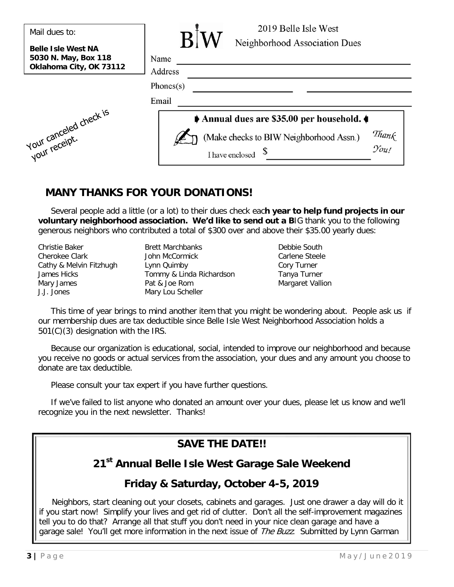| Mail dues to:                                                                | 2019 Belle Isle West                                                             |
|------------------------------------------------------------------------------|----------------------------------------------------------------------------------|
| <b>Belle Isle West NA</b><br>5030 N. May, Box 118<br>Oklahoma City, OK 73112 | Neighborhood Association Dues<br>Name<br>Address<br>Phones $(s)$                 |
|                                                                              | Email                                                                            |
|                                                                              | Annual dues are \$35.00 per household.                                           |
| vul canceled check is                                                        | Thank<br>You!<br>(Make checks to BIW Neighborhood Assn.)<br>S<br>I have enclosed |

### **MANY THANKS FOR YOUR DONATIONS!**

 Several people add a little (or a lot) to their dues check eac**h year to help fund projects in our voluntary neighborhood association. We'd like to send out a B**IG thank you to the following generous neighbors who contributed a total of \$300 over and above their \$35.00 yearly dues:

| Christie Baker          | <b>Brett Marchbanks</b> |
|-------------------------|-------------------------|
| Cherokee Clark          | John McCormick          |
| Cathy & Melvin Fitzhugh | Lynn Quimby             |
| James Hicks             | Tommy & Linda Richa     |
| Mary James              | Pat & Joe Rom           |
| J.J. Jones              | Mary Lou Scheller       |

Debbie South Carlene Steele Cory Turner ardson Tanya Turner Margaret Vallion

 This time of year brings to mind another item that you might be wondering about. People ask us if our membership dues are tax deductible since Belle Isle West Neighborhood Association holds a 501(C)(3) designation with the IRS.

 Because our organization is educational, social, intended to improve our neighborhood and because you receive no goods or actual services from the association, your dues and any amount you choose to donate are tax deductible.

Please consult your tax expert if you have further questions.

 If we've failed to list anyone who donated an amount over your dues, please let us know and we'll recognize you in the next newsletter. Thanks!

# **SAVE THE DATE!!**

# **21st Annual Belle Isle West Garage Sale Weekend**

## **Friday & Saturday, October 4-5, 2019**

 Neighbors, start cleaning out your closets, cabinets and garages. Just one drawer a day will do it if you start now! Simplify your lives and get rid of clutter. Don't all the self-improvement magazines tell you to do that? Arrange all that stuff you don't need in your nice clean garage and have a garage sale! You'll get more information in the next issue of *The Buzz*. Submitted by Lynn Garman